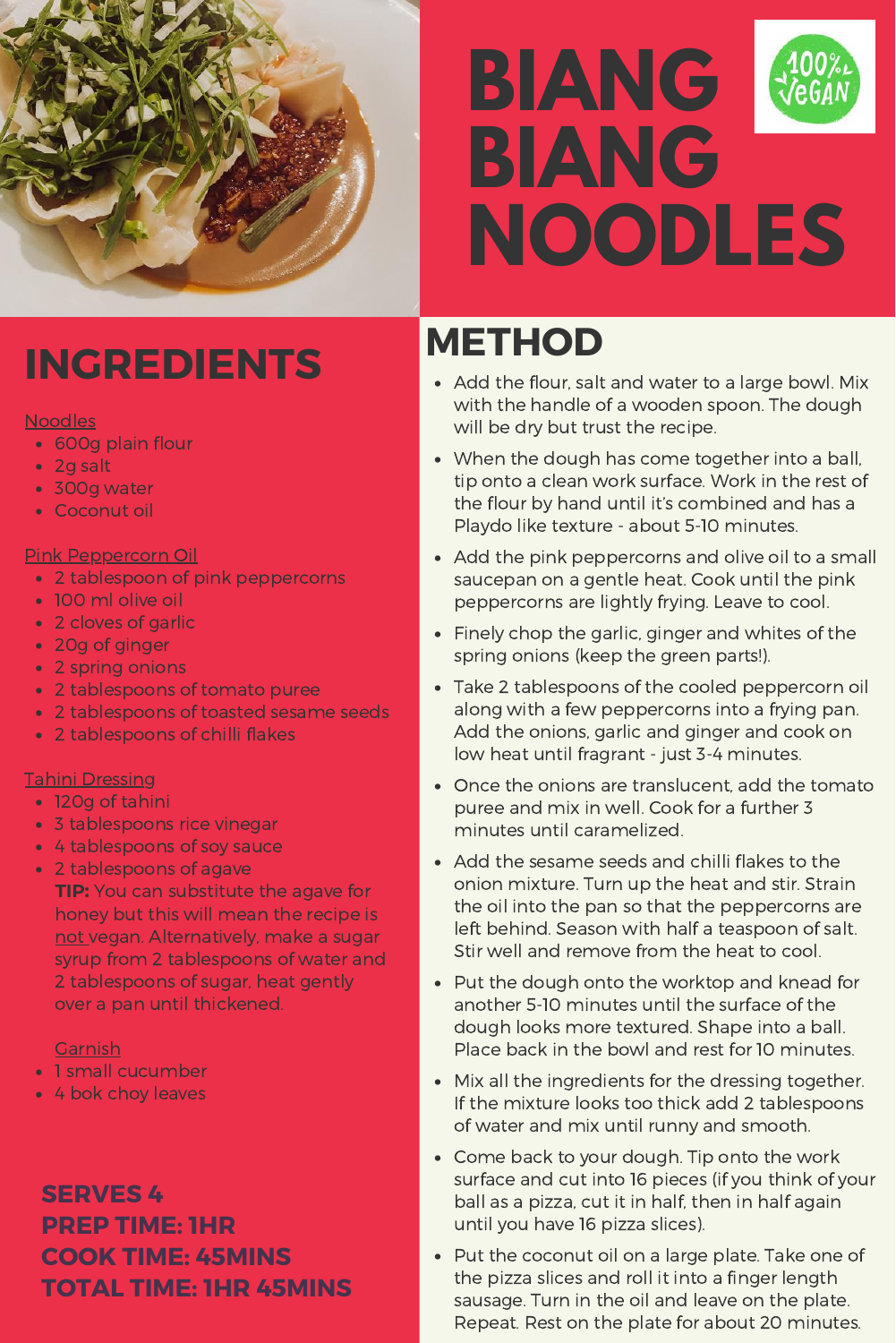

# **BIANG BIANG NOODLES**

# **INGREDIENTS**

#### **Noodles**

- 600g plain flour
- 2g salt
- 300g water
- Coconut oil

## Pink Peppercorn Oil

- 2 tablespoon of pink peppercorns
- 100 ml olive oil
- 2 cloves of garlic
- 20g of ginger
- 2 spring onions
- 2 tablespoons of tomato puree
- 2 tablespoons of toasted sesame seeds
- 2 tablespoons of chilli flakes

## Tahini Dressing

- 120g of tahini
- 3 tablespoons rice vinegar
- 4 tablespoons of soy sauce
- 2 tablespoons of agave
- **TIP:** You can substitute the agave for honey but this will mean the recipe is not vegan. Alternatively, make a sugar syrup from 2 tablespoons of water and 2 tablespoons of sugar, heat gently over a pan until thickened.

## Garnish

- 1 small cucumber
- 4 bok choy leaves

## **SERVES 4 PREP TIME: 1HR COOK TIME: 45MINS TOTAL TIME: 1HR 45MINS**

# **METHOD**

- Add the flour, salt and water to a large bowl. Mix with the handle of a wooden spoon. The dough will be dry but trust the recipe.
- When the dough has come together into a ball, tip onto a clean work surface. Work in the rest of the flour by hand until it's combined and has a Playdo like texture - about 5-10 minutes.
- Add the pink peppercorns and olive oil to a small saucepan on a gentle heat. Cook until the pink peppercorns are lightly frying. Leave to cool.
- Finely chop the garlic, ginger and whites of the spring onions (keep the green parts!).
- Take 2 tablespoons of the cooled peppercorn oil along with a few peppercorns into a frying pan. Add the onions, garlic and ginger and cook on low heat until fragrant - just 3-4 minutes.
- Once the onions are translucent, add the tomato puree and mix in well. Cook for a further 3 minutes until caramelized.
- Add the sesame seeds and chilli flakes to the onion mixture. Turn up the heat and stir. Strain the oil into the pan so that the peppercorns are left behind. Season with half a teaspoon of salt. Stir well and remove from the heat to cool.
- Put the dough onto the worktop and knead for another 5-10 minutes until the surface of the dough looks more textured. Shape into a ball. Place back in the bowl and rest for 10 minutes.
- Mix all the ingredients for the dressing together. If the mixture looks too thick add 2 tablespoons of water and mix until runny and smooth.
- Come back to your dough. Tip onto the work surface and cut into 16 pieces (if you think of your ball as a pizza, cut it in half, then in half again until you have 16 pizza slices).
- Put the coconut oil on a large plate. Take one of the pizza slices and roll it into a finger length sausage. Turn in the oil and leave on the plate. Repeat. Rest on the plate for about 20 minutes.